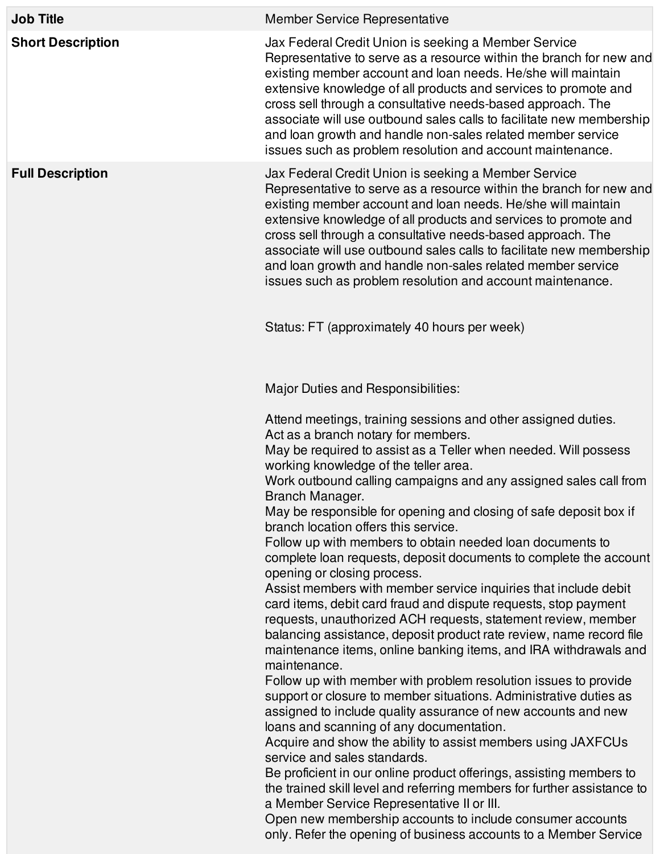| <b>Job Title</b>         | <b>Member Service Representative</b>                                                                                                                                                                                                                                                                                                                                                                                                                                                                                               |
|--------------------------|------------------------------------------------------------------------------------------------------------------------------------------------------------------------------------------------------------------------------------------------------------------------------------------------------------------------------------------------------------------------------------------------------------------------------------------------------------------------------------------------------------------------------------|
| <b>Short Description</b> | Jax Federal Credit Union is seeking a Member Service<br>Representative to serve as a resource within the branch for new and<br>existing member account and loan needs. He/she will maintain<br>extensive knowledge of all products and services to promote and<br>cross sell through a consultative needs-based approach. The<br>associate will use outbound sales calls to facilitate new membership<br>and loan growth and handle non-sales related member service<br>issues such as problem resolution and account maintenance. |
| <b>Full Description</b>  | Jax Federal Credit Union is seeking a Member Service<br>Representative to serve as a resource within the branch for new and<br>existing member account and loan needs. He/she will maintain<br>extensive knowledge of all products and services to promote and<br>cross sell through a consultative needs-based approach. The<br>associate will use outbound sales calls to facilitate new membership<br>and loan growth and handle non-sales related member service<br>issues such as problem resolution and account maintenance. |
|                          | Status: FT (approximately 40 hours per week)                                                                                                                                                                                                                                                                                                                                                                                                                                                                                       |
|                          | Major Duties and Responsibilities:                                                                                                                                                                                                                                                                                                                                                                                                                                                                                                 |
|                          | Attend meetings, training sessions and other assigned duties.<br>Act as a branch notary for members.<br>May be required to assist as a Teller when needed. Will possess<br>working knowledge of the teller area.                                                                                                                                                                                                                                                                                                                   |
|                          | Work outbound calling campaigns and any assigned sales call from<br>Branch Manager.<br>May be responsible for opening and closing of safe deposit box if<br>branch location offers this service.                                                                                                                                                                                                                                                                                                                                   |
|                          | Follow up with members to obtain needed loan documents to<br>complete loan requests, deposit documents to complete the account<br>opening or closing process.                                                                                                                                                                                                                                                                                                                                                                      |
|                          | Assist members with member service inquiries that include debit<br>card items, debit card fraud and dispute requests, stop payment<br>requests, unauthorized ACH requests, statement review, member<br>balancing assistance, deposit product rate review, name record file<br>maintenance items, online banking items, and IRA withdrawals and<br>maintenance.                                                                                                                                                                     |
|                          | Follow up with member with problem resolution issues to provide<br>support or closure to member situations. Administrative duties as<br>assigned to include quality assurance of new accounts and new<br>loans and scanning of any documentation.                                                                                                                                                                                                                                                                                  |
|                          | Acquire and show the ability to assist members using JAXFCUs<br>service and sales standards.                                                                                                                                                                                                                                                                                                                                                                                                                                       |
|                          | Be proficient in our online product offerings, assisting members to<br>the trained skill level and referring members for further assistance to<br>a Member Service Representative II or III.                                                                                                                                                                                                                                                                                                                                       |
|                          | Open new membership accounts to include consumer accounts<br>only. Refer the opening of business accounts to a Member Service                                                                                                                                                                                                                                                                                                                                                                                                      |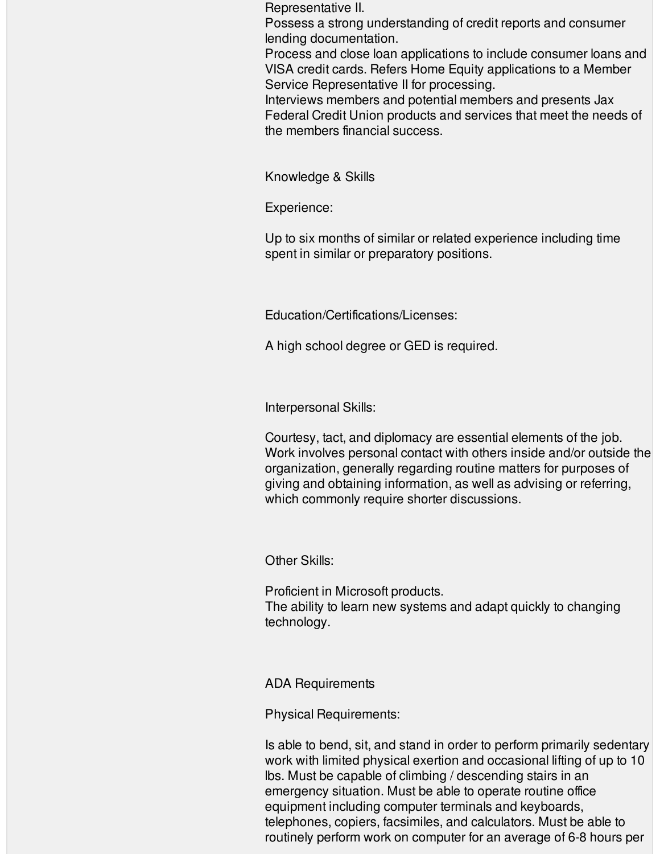Representative II.

Possess a strong understanding of credit reports and consumer lending documentation.

Process and close loan applications to include consumer loans and VISA credit cards. Refers Home Equity applications to a Member Service Representative II for processing.

Interviews members and potential members and presents Jax Federal Credit Union products and services that meet the needs of the members financial success.

Knowledge & Skills

Experience:

Up to six months of similar or related experience including time spent in similar or preparatory positions.

Education/Certifications/Licenses:

A high school degree or GED is required.

Interpersonal Skills:

Courtesy, tact, and diplomacy are essential elements of the job. Work involves personal contact with others inside and/or outside the organization, generally regarding routine matters for purposes of giving and obtaining information, as well as advising or referring, which commonly require shorter discussions.

Other Skills:

Proficient in Microsoft products. The ability to learn new systems and adapt quickly to changing technology.

ADA Requirements

Physical Requirements:

Is able to bend, sit, and stand in order to perform primarily sedentary work with limited physical exertion and occasional lifting of up to 10 lbs. Must be capable of climbing / descending stairs in an emergency situation. Must be able to operate routine office equipment including computer terminals and keyboards, telephones, copiers, facsimiles, and calculators. Must be able to routinely perform work on computer for an average of 6-8 hours per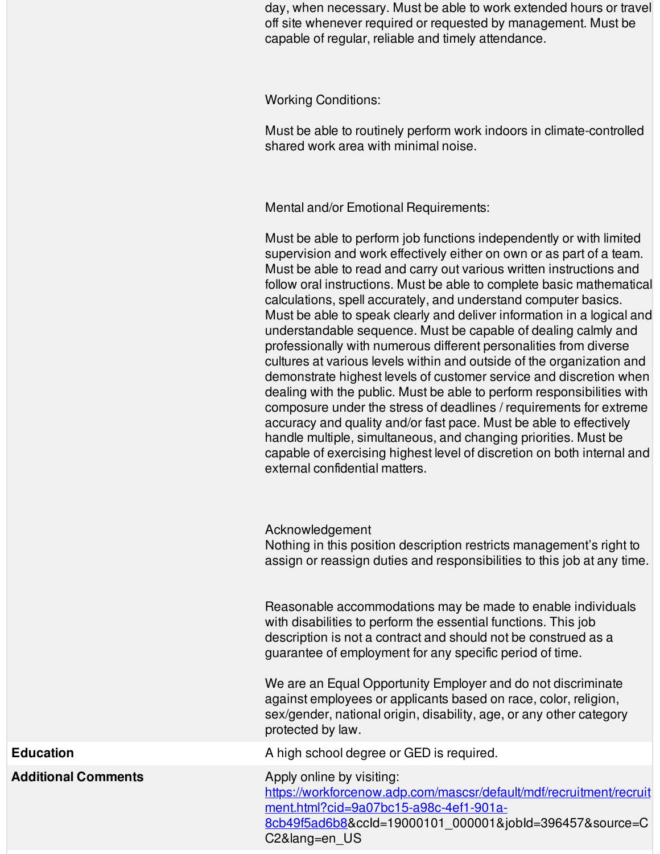day, when necessary. Must be able to work extended hours or travel off site whenever required or requested by management. Must be capable of regular, reliable and timely attendance.

Working Conditions:

Must be able to routinely perform work indoors in climate-controlled shared work area with minimal noise.

Mental and/or Emotional Requirements:

Must be able to perform job functions independently or with limited supervision and work effectively either on own or as part of a team. Must be able to read and carry out various written instructions and follow oral instructions. Must be able to complete basic mathematical calculations, spell accurately, and understand computer basics. Must be able to speak clearly and deliver information in a logical and understandable sequence. Must be capable of dealing calmly and professionally with numerous different personalities from diverse cultures at various levels within and outside of the organization and demonstrate highest levels of customer service and discretion when dealing with the public. Must be able to perform responsibilities with composure under the stress of deadlines / requirements for extreme accuracy and quality and/or fast pace. Must be able to effectively handle multiple, simultaneous, and changing priorities. Must be capable of exercising highest level of discretion on both internal and external confidential matters.

Acknowledgement

Nothing in this position description restricts management's right to assign or reassign duties and responsibilities to this job at any time.

Reasonable accommodations may be made to enable individuals with disabilities to perform the essential functions. This job description is not a contract and should not be construed as a guarantee of employment for any specific period of time.

We are an Equal Opportunity Employer and do not discriminate against employees or applicants based on race, color, religion, sex/gender, national origin, disability, age, or any other category protected by law.

**Education Education Education Education A** high school degree or GED is required.

[https://workforcenow.adp.com/mascsr/default/mdf/recruitment/recruit](https://workforcenow.adp.com/mascsr/default/mdf/recruitment/recruitment.html?cid=9a07bc15-a98c-4ef1-901a-8cb49f5ad6b8) ment.html?cid=9a07bc15-a98c-4ef1-901a-

8cb49f5ad6b8&ccId=19000101\_000001&jobId=396457&source=C C2&lang=en\_US

**Additional Comments** Apply online by visiting: